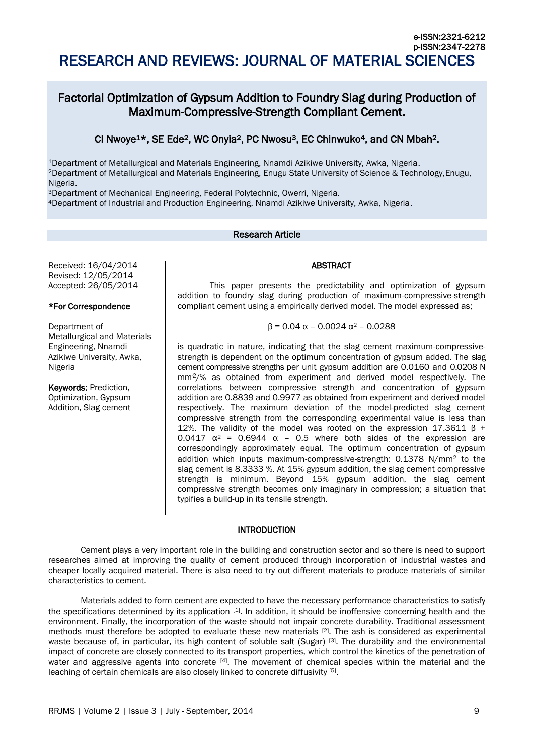# Factorial Optimization of Gypsum Addition to Foundry Slag during Production of Maximum-Compressive-Strength Compliant Cement.

## CI Nwoye<sup>1\*</sup>, SE Ede<sup>2</sup>, WC Onyia<sup>2</sup>, PC Nwosu<sup>3</sup>, EC Chinwuko<sup>4</sup>, and CN Mbah<sup>2</sup>.

<sup>1</sup>Department of Metallurgical and Materials Engineering, Nnamdi Azikiwe University, Awka, Nigeria. <sup>2</sup>Department of Metallurgical and Materials Engineering, Enugu State University of Science & Technology,Enugu, Nigeria.

<sup>3</sup>Department of Mechanical Engineering, Federal Polytechnic, Owerri, Nigeria.

<sup>4</sup>Department of Industrial and Production Engineering, Nnamdi Azikiwe University, Awka, Nigeria.

## Research Article

Received: 16/04/2014 Revised: 12/05/2014 Accepted: 26/05/2014

## \*For Correspondence

Department of Metallurgical and Materials Engineering, Nnamdi Azikiwe University, Awka, Nigeria

Keywords: Prediction, Optimization, Gypsum Addition, Slag cement

## ABSTRACT

This paper presents the predictability and optimization of gypsum addition to foundry slag during production of maximum-compressive-strength compliant cement using a empirically derived model. The model expressed as;

#### $β = 0.04 α - 0.0024 α<sup>2</sup> - 0.0288$

is quadratic in nature, indicating that the slag cement maximum-compressivestrength is dependent on the optimum concentration of gypsum added. The slag cement compressive strengths per unit gypsum addition are 0.0160 and 0.0208 N mm<sup>2</sup>/% as obtained from experiment and derived model respectively. The correlations between compressive strength and concentration of gypsum addition are 0.8839 and 0.9977 as obtained from experiment and derived model respectively. The maximum deviation of the model-predicted slag cement compressive strength from the corresponding experimental value is less than 12%. The validity of the model was rooted on the expression 17.3611 β + 0.0417  $\alpha^2$  = 0.6944  $\alpha$  - 0.5 where both sides of the expression are correspondingly approximately equal. The optimum concentration of gypsum addition which inputs maximum-compressive-strength: 0.1378 N/mm<sup>2</sup> to the slag cement is 8.3333 %. At 15% gypsum addition, the slag cement compressive strength is minimum. Beyond 15% gypsum addition, the slag cement compressive strength becomes only imaginary in compression; a situation that typifies a build-up in its tensile strength.

#### INTRODUCTION

Cement plays a very important role in the building and construction sector and so there is need to support researches aimed at improving the quality of cement produced through incorporation of industrial wastes and cheaper locally acquired material. There is also need to try out different materials to produce materials of similar characteristics to cement.

Materials added to form cement are expected to have the necessary performance characteristics to satisfy the specifications determined by its application [1]. In addition, it should be inoffensive concerning health and the environment. Finally, the incorporation of the waste should not impair concrete durability. Traditional assessment methods must therefore be adopted to evaluate these new materials [2]. The ash is considered as experimental waste because of, in particular, its high content of soluble salt (Sugar) [3]. The durability and the environmental impact of concrete are closely connected to its transport properties, which control the kinetics of the penetration of water and aggressive agents into concrete [4]. The movement of chemical species within the material and the leaching of certain chemicals are also closely linked to concrete diffusivity [5].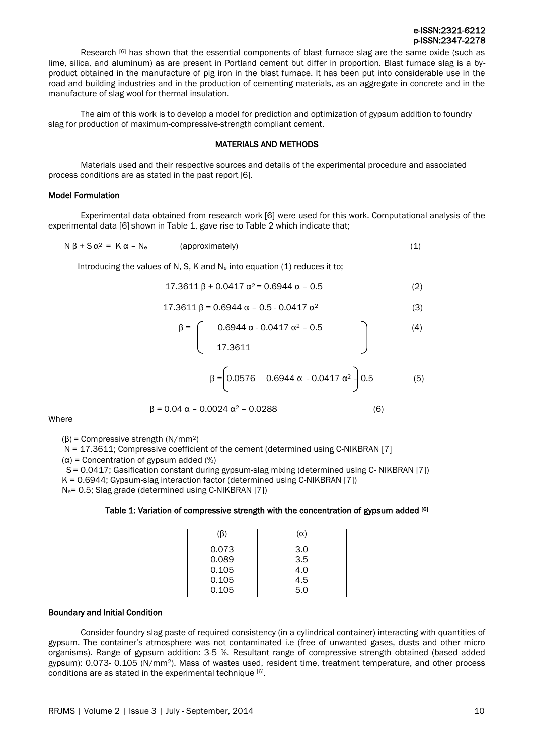#### e-ISSN:2321-6212 p-ISSN:2347-2278

Research [6] has shown that the essential components of blast furnace slag are the same oxide (such as lime, silica, and aluminum) as are present in Portland cement but differ in proportion. Blast furnace slag is a byproduct obtained in the manufacture of pig iron in the blast furnace. It has been put into considerable use in the road and building industries and in the production of cementing materials, as an aggregate in concrete and in the manufacture of slag wool for thermal insulation.

The aim of this work is to develop a model for prediction and optimization of gypsum addition to foundry slag for production of maximum-compressive-strength compliant cement.

#### MATERIALS AND METHODS

Materials used and their respective sources and details of the experimental procedure and associated process conditions are as stated in the past report [6].

#### Model Formulation

Experimental data obtained from research work [6] were used for this work. Computational analysis of the experimental data [6] shown in Table 1, gave rise to Table 2 which indicate that;

$$
N \beta + S \alpha^2 = K \alpha - N_e \qquad (approximately)
$$
 (1)

Introducing the values of N, S, K and  $N_e$  into equation (1) reduces it to;

$$
17.3611 \beta + 0.0417 \alpha^2 = 0.6944 \alpha - 0.5
$$
 (2)

$$
17.3611 \beta = 0.6944 \alpha - 0.5 - 0.0417 \alpha^2 \tag{3}
$$

$$
\beta = \left(\frac{0.6944 \alpha - 0.0417 \alpha^2 - 0.5}{17.3611}\right)
$$
(4)  

$$
\beta = \left(0.0576 \quad 0.6944 \alpha - 0.0417 \alpha^2\right)0.5
$$
(5)

$$
\beta = 0.04 \alpha - 0.0024 \alpha^2 - 0.0288 \tag{6}
$$

**Where** 

(β) = Compressive strength (N/mm2)

N = 17.3611; Compressive coefficient of the cement (determined using C-NIKBRAN [7]

 $(\alpha)$  = Concentration of gypsum added (%)

S = 0.0417; Gasification constant during gypsum-slag mixing (determined using C- NIKBRAN [7])

K = 0.6944; Gypsum-slag interaction factor (determined using C-NIKBRAN [7])

Ne= 0.5; Slag grade (determined using C-NIKBRAN [7])

#### Table 1: Variation of compressive strength with the concentration of gypsum added [6]

| (B)   | $(\alpha)$ |
|-------|------------|
| 0.073 | 3.0        |
| 0.089 | 3.5        |
| 0.105 | 4.0        |
| 0.105 | 4.5        |
| 0.105 | 5.0        |

#### Boundary and Initial Condition

Consider foundry slag paste of required consistency (in a cylindrical container) interacting with quantities of gypsum. The container's atmosphere was not contaminated i.e (free of unwanted gases, dusts and other micro organisms). Range of gypsum addition: 3-5 %. Resultant range of compressive strength obtained (based added gypsum): 0.073- 0.105 (N/mm2). Mass of wastes used, resident time, treatment temperature, and other process conditions are as stated in the experimental technique [6].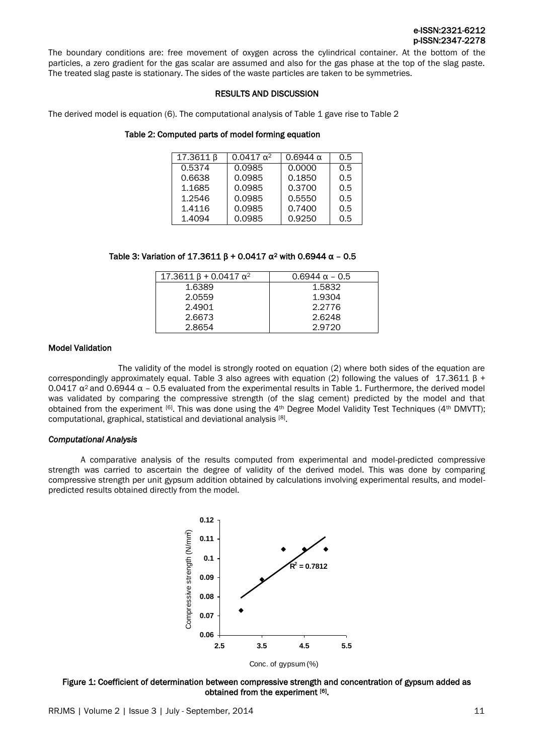

The boundary conditions are: free movement of oxygen across the cylindrical container. At the bottom of the particles, a zero gradient for the gas scalar are assumed and also for the gas phase at the top of the slag paste. The treated slag paste is stationary. The sides of the waste particles are taken to be symmetries.

#### RESULTS AND DISCUSSION

The derived model is equation (6). The computational analysis of Table 1 gave rise to Table 2

### Table 2: Computed parts of model forming equation

| 17.3611β | $0.0417 \alpha^2$ | $0.6944 \alpha$ | 0.5 |
|----------|-------------------|-----------------|-----|
| 0.5374   | 0.0985            | 0.0000          | 0.5 |
| 0.6638   | 0.0985            | 0.1850          | 0.5 |
| 1.1685   | 0.0985            | 0.3700          | 0.5 |
| 1.2546   | 0.0985            | 0.5550          | 0.5 |
| 1.4116   | 0.0985            | 0.7400          | 0.5 |
| 1.4094   | 0.0985            | 0.9250          | 0.5 |

#### Table 3: Variation of 17.3611 β + 0.0417  $\alpha^2$  with 0.6944  $\alpha$  - 0.5

| $17.3611 \beta + 0.0417 \alpha^2$ | $0.6944 \alpha - 0.5$ |
|-----------------------------------|-----------------------|
| 1.6389                            | 1.5832                |
| 2.0559                            | 1.9304                |
| 2.4901                            | 2.2776                |
| 2.6673                            | 2.6248                |
| 2.8654                            | 2.9720                |

#### Model Validation

The validity of the model is strongly rooted on equation (2) where both sides of the equation are correspondingly approximately equal. Table 3 also agrees with equation (2) following the values of 17.3611 β + 0.0417  $\alpha$ <sup>2</sup> and 0.6944  $\alpha$  – 0.5 evaluated from the experimental results in Table 1. Furthermore, the derived model was validated by comparing the compressive strength (of the slag cement) predicted by the model and that obtained from the experiment [6]. This was done using the 4th Degree Model Validity Test Techniques (4th DMVTT); computational, graphical, statistical and deviational analysis<sup>[8]</sup>.

#### *Computational Analysis*

A comparative analysis of the results computed from experimental and model-predicted compressive strength was carried to ascertain the degree of validity of the derived model. This was done by comparing compressive strength per unit gypsum addition obtained by calculations involving experimental results, and modelpredicted results obtained directly from the model.



Figure 1: Coefficient of determination between compressive strength and concentration of gypsum added as obtained from the experiment [6].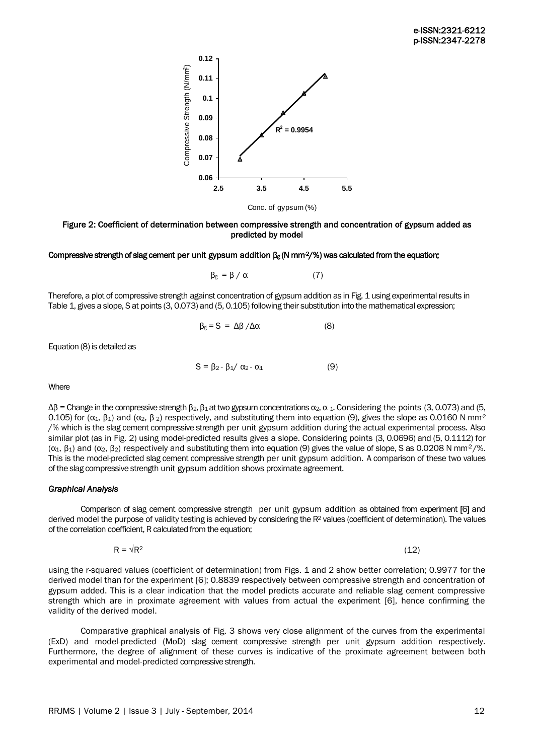

Figure 2: Coefficient of determination between compressive strength and concentration of gypsum added as predicted by model

#### Compressive strength of slag cement per unit gypsum addition  $\beta_{\rm g}$  (N mm<sup>2</sup>/%) was calculated from the equation;

$$
\beta_{\rm g} = \beta / \alpha \tag{7}
$$

Therefore, a plot of compressive strength against concentration of gypsum addition as in Fig. 1 using experimental results in Table 1, gives a slope, S at points (3, 0.073) and (5, 0.105) following their substitution into the mathematical expression;

$$
\beta_{g} = S = \Delta \beta / \Delta \alpha \tag{8}
$$

Equation (8) is detailed as

$$
S = \beta_2 - \beta_1 / \alpha_2 - \alpha_1 \tag{9}
$$

**Where** 

 $Δβ = Change in the compressive strength β<sub>2</sub>, β<sub>1</sub> at two gypsum concentrations α<sub>2</sub>, α<sub>1</sub>. Considering the points (3, 0.073) and (5,$ 0.105) for ( $\alpha_1$ ,  $\beta_1$ ) and ( $\alpha_2$ ,  $\beta_2$ ) respectively, and substituting them into equation (9), gives the slope as 0.0160 N mm<sup>2</sup> /% which is the slag cement compressive strength per unit gypsum addition during the actual experimental process. Also similar plot (as in Fig. 2) using model-predicted results gives a slope. Considering points (3, 0.0696) and (5, 0.1112) for  $(α<sub>1</sub>, β<sub>1</sub>)$  and  $(α<sub>2</sub>, β<sub>2</sub>)$  respectively and substituting them into equation (9) gives the value of slope, S as 0.0208 N mm<sup>2</sup>/%. This is the model-predicted slag cement compressive strength per unit gypsum addition. A comparison of these two values of the slag compressive strength unit gypsum addition shows proximate agreement.

#### *Graphical Analysis*

Comparison of slag cement compressive strength per unit gypsum addition as obtained from experiment [6] and derived model the purpose of validity testing is achieved by considering the R<sup>2</sup> values (coefficient of determination). The values of the correlation coefficient, R calculated from the equation;

 $R = \sqrt{R^2}$  (12)

using the r-squared values (coefficient of determination) from Figs. 1 and 2 show better correlation; 0.9977 for the derived model than for the experiment [6]; 0.8839 respectively between compressive strength and concentration of gypsum added. This is a clear indication that the model predicts accurate and reliable slag cement compressive strength which are in proximate agreement with values from actual the experiment [6], hence confirming the validity of the derived model.

Comparative graphical analysis of Fig. 3 shows very close alignment of the curves from the experimental (ExD) and model-predicted (MoD) slag cement compressive strength per unit gypsum addition respectively. Furthermore, the degree of alignment of these curves is indicative of the proximate agreement between both experimental and model-predicted compressive strength.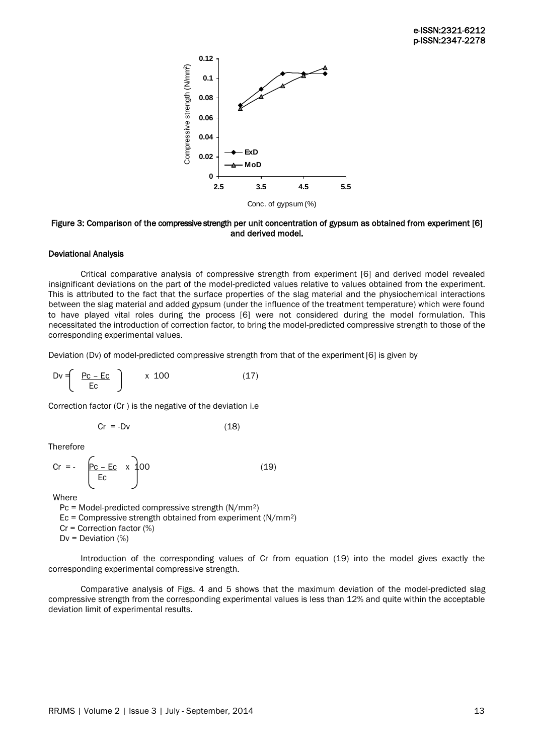

#### Figure 3: Comparison of the compressive strength per unit concentration of gypsum as obtained from experiment [6] and derived model.

#### Deviational Analysis

Critical comparative analysis of compressive strength from experiment [6] and derived model revealed insignificant deviations on the part of the model-predicted values relative to values obtained from the experiment. This is attributed to the fact that the surface properties of the slag material and the physiochemical interactions between the slag material and added gypsum (under the influence of the treatment temperature) which were found to have played vital roles during the process [6] were not considered during the model formulation. This necessitated the introduction of correction factor, to bring the model-predicted compressive strength to those of the corresponding experimental values.

Deviation (Dv) of model-predicted compressive strength from that of the experiment [6] is given by

$$
Dv = \left(\begin{array}{c} \underline{Pc - Ec} \\ \underline{Ec} \end{array}\right) \qquad x \quad 100 \tag{17}
$$

Correction factor (Cr ) is the negative of the deviation i.e

$$
Cr = -Dv \tag{18}
$$

Therefore

$$
Cr = -\left[\frac{P_{C - EC}}{Ec} \times \right] 00 \tag{19}
$$

Where

 Pc = Model-predicted compressive strength (N/mm2)  $Ec = Compressive strength obtained from experiment (N/mm<sup>2</sup>)$  $Cr =$  Correction factor  $(\%)$  $Dv = Deviation (%)$ 

Introduction of the corresponding values of Cr from equation (19) into the model gives exactly the corresponding experimental compressive strength.

Comparative analysis of Figs. 4 and 5 shows that the maximum deviation of the model-predicted slag compressive strength from the corresponding experimental values is less than 12% and quite within the acceptable deviation limit of experimental results.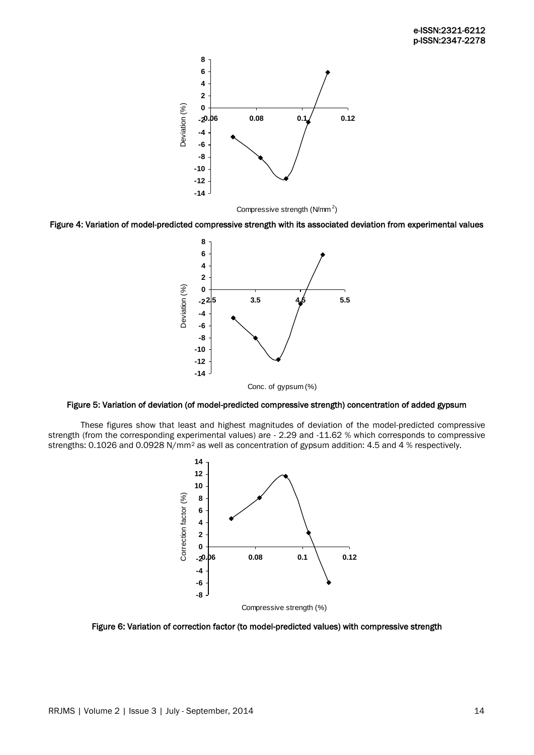

Figure 4: Variation of model-predicted compressive strength with its associated deviation from experimental values



Figure 5: Variation of deviation (of model-predicted compressive strength) concentration of added gypsum

These figures show that least and highest magnitudes of deviation of the model-predicted compressive strength (from the corresponding experimental values) are - 2.29 and -11.62 % which corresponds to compressive strengths: 0.1026 and 0.0928 N/mm<sup>2</sup> as well as concentration of gypsum addition: 4.5 and 4 % respectively.



Figure 6: Variation of correction factor (to model-predicted values) with compressive strength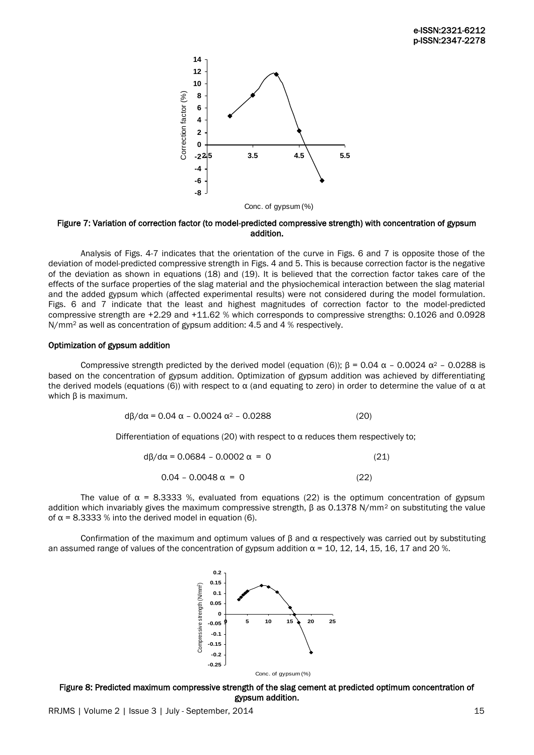

Figure 7: Variation of correction factor (to model-predicted compressive strength) with concentration of gypsum addition.

Analysis of Figs. 4-7 indicates that the orientation of the curve in Figs. 6 and 7 is opposite those of the deviation of model-predicted compressive strength in Figs. 4 and 5. This is because correction factor is the negative of the deviation as shown in equations (18) and (19). It is believed that the correction factor takes care of the effects of the surface properties of the slag material and the physiochemical interaction between the slag material and the added gypsum which (affected experimental results) were not considered during the model formulation. Figs. 6 and 7 indicate that the least and highest magnitudes of correction factor to the model-predicted compressive strength are +2.29 and +11.62 % which corresponds to compressive strengths: 0.1026 and 0.0928 N/mm<sup>2</sup> as well as concentration of gypsum addition: 4.5 and 4 % respectively.

#### Optimization of gypsum addition

Compressive strength predicted by the derived model (equation (6));  $\beta = 0.04 \alpha - 0.0024 \alpha^2 - 0.0288$  is based on the concentration of gypsum addition. Optimization of gypsum addition was achieved by differentiating the derived models (equations (6)) with respect to  $\alpha$  (and equating to zero) in order to determine the value of  $\alpha$  at which β is maximum.

$$
d\beta/d\alpha = 0.04 \alpha - 0.0024 \alpha^2 - 0.0288
$$
 (20)

Differentiation of equations (20) with respect to  $\alpha$  reduces them respectively to;

| $d\beta/d\alpha = 0.0684 - 0.0002 \alpha = 0$ | (21) |
|-----------------------------------------------|------|
| $0.04 - 0.0048 \alpha = 0$                    | (22) |

The value of  $\alpha$  = 8.3333 %, evaluated from equations (22) is the optimum concentration of gypsum addition which invariably gives the maximum compressive strength, β as 0.1378 N/mm<sup>2</sup> on substituting the value of  $α = 8.3333 %$  into the derived model in equation (6).

Confirmation of the maximum and optimum values of  $\beta$  and  $\alpha$  respectively was carried out by substituting an assumed range of values of the concentration of gypsum addition  $\alpha$  = 10, 12, 14, 15, 16, 17 and 20 %.



Figure 8: Predicted maximum compressive strength of the slag cement at predicted optimum concentration of gypsum addition.